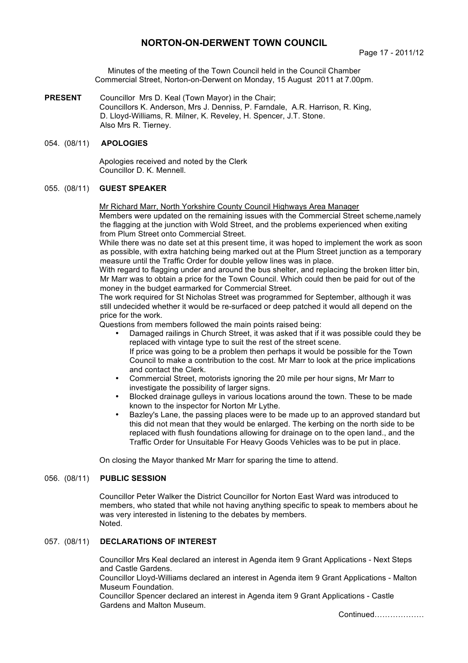# **NORTON-ON-DERWENT TOWN COUNCIL**

Minutes of the meeting of the Town Council held in the Council Chamber Commercial Street, Norton-on-Derwent on Monday, 15 August 2011 at 7.00pm.

**PRESENT** Councillor Mrs D. Keal (Town Mayor) in the Chair; Councillors K. Anderson, Mrs J. Denniss, P. Farndale, A.R. Harrison, R. King, D. Lloyd-Williams, R. Milner, K. Reveley, H. Spencer, J.T. Stone. Also Mrs R. Tierney.

### 054. (08/11) **APOLOGIES**

 Apologies received and noted by the Clerk Councillor D. K. Mennell.

# 055. (08/11) **GUEST SPEAKER**

Mr Richard Marr, North Yorkshire County Council Highways Area Manager

Members were updated on the remaining issues with the Commercial Street scheme,namely the flagging at the junction with Wold Street, and the problems experienced when exiting from Plum Street onto Commercial Street.

While there was no date set at this present time, it was hoped to implement the work as soon as possible, with extra hatching being marked out at the Plum Street junction as a temporary measure until the Traffic Order for double yellow lines was in place.

With regard to flagging under and around the bus shelter, and replacing the broken litter bin, Mr Marr was to obtain a price for the Town Council. Which could then be paid for out of the money in the budget earmarked for Commercial Street.

The work required for St Nicholas Street was programmed for September, although it was still undecided whether it would be re-surfaced or deep patched it would all depend on the price for the work.

Questions from members followed the main points raised being:

- Damaged railings in Church Street, it was asked that if it was possible could they be replaced with vintage type to suit the rest of the street scene. If price was going to be a problem then perhaps it would be possible for the Town Council to make a contribution to the cost. Mr Marr to look at the price implications and contact the Clerk.
- Commercial Street, motorists ignoring the 20 mile per hour signs, Mr Marr to investigate the possibility of larger signs.
- Blocked drainage gulleys in various locations around the town. These to be made known to the inspector for Norton Mr Lythe.
- Bazley's Lane, the passing places were to be made up to an approved standard but this did not mean that they would be enlarged. The kerbing on the north side to be replaced with flush foundations allowing for drainage on to the open land., and the Traffic Order for Unsuitable For Heavy Goods Vehicles was to be put in place.

On closing the Mayor thanked Mr Marr for sparing the time to attend.

# 056. (08/11) **PUBLIC SESSION**

Councillor Peter Walker the District Councillor for Norton East Ward was introduced to members, who stated that while not having anything specific to speak to members about he was very interested in listening to the debates by members. Noted.

### 057. (08/11) **DECLARATIONS OF INTEREST**

 Councillor Mrs Keal declared an interest in Agenda item 9 Grant Applications - Next Steps and Castle Gardens.

Councillor Lloyd-Williams declared an interest in Agenda item 9 Grant Applications - Malton Museum Foundation.

Councillor Spencer declared an interest in Agenda item 9 Grant Applications - Castle Gardens and Malton Museum.

Continued……………….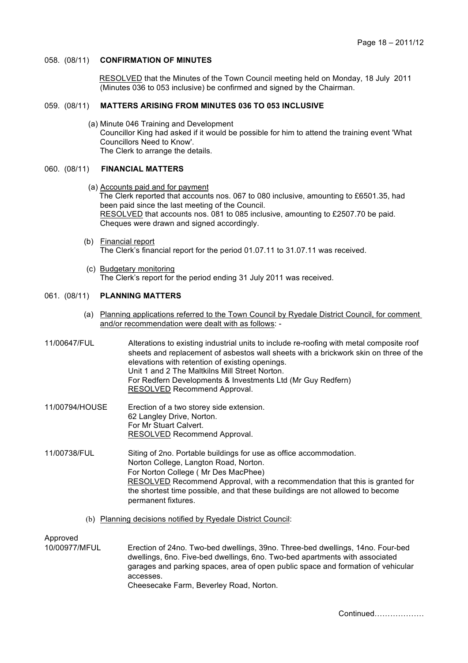### 058. (08/11) **CONFIRMATION OF MINUTES**

 RESOLVED that the Minutes of the Town Council meeting held on Monday, 18 July 2011 (Minutes 036 to 053 inclusive) be confirmed and signed by the Chairman.

# 059. (08/11) **MATTERS ARISING FROM MINUTES 036 TO 053 INCLUSIVE**

(a) Minute 046 Training and Development Councillor King had asked if it would be possible for him to attend the training event 'What Councillors Need to Know'. The Clerk to arrange the details.

# 060. (08/11) **FINANCIAL MATTERS**

- (a) Accounts paid and for payment The Clerk reported that accounts nos. 067 to 080 inclusive, amounting to £6501.35, had been paid since the last meeting of the Council. RESOLVED that accounts nos. 081 to 085 inclusive, amounting to £2507.70 be paid. Cheques were drawn and signed accordingly.
- (b) Financial report The Clerk's financial report for the period 01.07.11 to 31.07.11 was received.
- (c) Budgetary monitoring The Clerk's report for the period ending 31 July 2011 was received.

#### 061. (08/11) **PLANNING MATTERS**

- (a) Planning applications referred to the Town Council by Ryedale District Council, for comment and/or recommendation were dealt with as follows: -
- 11/00647/FUL Alterations to existing industrial units to include re-roofing with metal composite roof sheets and replacement of asbestos wall sheets with a brickwork skin on three of the elevations with retention of existing openings. Unit 1 and 2 The Maltkilns Mill Street Norton. For Redfern Developments & Investments Ltd (Mr Guy Redfern) RESOLVED Recommend Approval.
- 11/00794/HOUSE Erection of a two storey side extension. 62 Langley Drive, Norton. For Mr Stuart Calvert. RESOLVED Recommend Approval.
- 11/00738/FUL Siting of 2no. Portable buildings for use as office accommodation. Norton College, Langton Road, Norton. For Norton College ( Mr Des MacPhee) RESOLVED Recommend Approval, with a recommendation that this is granted for the shortest time possible, and that these buildings are not allowed to become permanent fixtures.
	- (b) Planning decisions notified by Ryedale District Council:

Approved

10/00977/MFUL Erection of 24no. Two-bed dwellings, 39no. Three-bed dwellings, 14no. Four-bed dwellings, 6no. Five-bed dwellings, 6no. Two-bed apartments with associated garages and parking spaces, area of open public space and formation of vehicular accesses. Cheesecake Farm, Beverley Road, Norton.

Continued……………….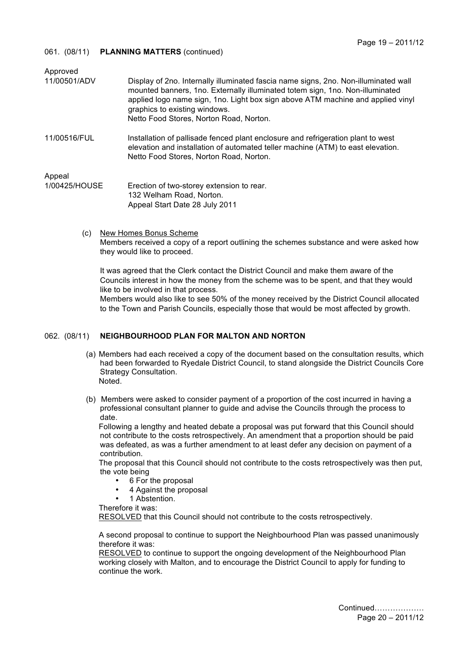### 061. (08/11) **PLANNING MATTERS** (continued)

| Approved                |                                                                                                                                                                                                                                                                                                                                     |
|-------------------------|-------------------------------------------------------------------------------------------------------------------------------------------------------------------------------------------------------------------------------------------------------------------------------------------------------------------------------------|
| 11/00501/ADV            | Display of 2no. Internally illuminated fascia name signs, 2no. Non-illuminated wall<br>mounted banners, 1no. Externally illuminated totem sign, 1no. Non-illuminated<br>applied logo name sign, 1no. Light box sign above ATM machine and applied vinyl<br>graphics to existing windows.<br>Netto Food Stores, Norton Road, Norton. |
| 11/00516/FUL            | Installation of pallisade fenced plant enclosure and refrigeration plant to west<br>elevation and installation of automated teller machine (ATM) to east elevation.<br>Netto Food Stores, Norton Road, Norton.                                                                                                                      |
| Appeal<br>1/00425/HOUSE | Erection of two-storey extension to rear.<br>132 Welham Road, Norton.<br>Appeal Start Date 28 July 2011                                                                                                                                                                                                                             |

 (c) New Homes Bonus Scheme Members received a copy of a report outlining the schemes substance and were asked how they would like to proceed.

It was agreed that the Clerk contact the District Council and make them aware of the Councils interest in how the money from the scheme was to be spent, and that they would like to be involved in that process.

Members would also like to see 50% of the money received by the District Council allocated to the Town and Parish Councils, especially those that would be most affected by growth.

# 062. (08/11) **NEIGHBOURHOOD PLAN FOR MALTON AND NORTON**

- (a) Members had each received a copy of the document based on the consultation results, which had been forwarded to Ryedale District Council, to stand alongside the District Councils Core Strategy Consultation. Noted.
- (b) Members were asked to consider payment of a proportion of the cost incurred in having a professional consultant planner to guide and advise the Councils through the process to date.

Following a lengthy and heated debate a proposal was put forward that this Council should not contribute to the costs retrospectively. An amendment that a proportion should be paid was defeated, as was a further amendment to at least defer any decision on payment of a contribution.

The proposal that this Council should not contribute to the costs retrospectively was then put, the vote being

- 6 For the proposal
- 4 Against the proposal
- 1 Abstention.

Therefore it was:

RESOLVED that this Council should not contribute to the costs retrospectively.

A second proposal to continue to support the Neighbourhood Plan was passed unanimously therefore it was:

RESOLVED to continue to support the ongoing development of the Neighbourhood Plan working closely with Malton, and to encourage the District Council to apply for funding to continue the work.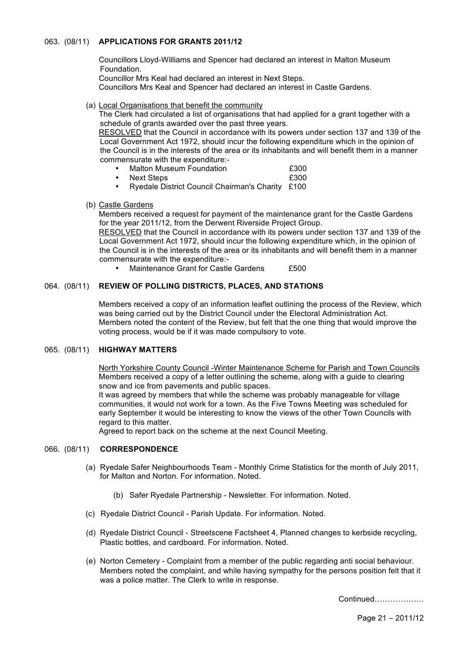# 063. (08/11) **APPLICATIONS FOR GRANTS 2011/12**

Councillors Lloyd-Williams and Spencer had declared an interest in Malton Museum Foundation.

Councillor Mrs Keal had declared an interest in Next Steps. Councillors Mrs Keal and Spencer had declared an interest in Castle Gardens.

(a) Local Organisations that benefit the community

The Clerk had circulated a list of organisations that had applied for a grant together with a schedule of grants awarded over the past three years.

RESOLVED that the Council in accordance with its powers under section 137 and 139 of the Local Government Act 1972, should incur the following expenditure which in the opinion of the Council is in the interests of the area or its inhabitants and will benefit them in a manner commensurate with the expenditure:-

- **Malton Museum Foundation 619 11 1200 1200 1300 1300 1300 1300**<br>Next Steps 6300
- Next Steps<br>• **Evedale Divide**
- Ryedale District Council Chairman's Charity £100
- (b) Castle Gardens

Members received a request for payment of the maintenance grant for the Castle Gardens for the year 2011/12, from the Derwent Riverside Project Group. RESOLVED that the Council in accordance with its powers under section 137 and 139 of the Local Government Act 1972, should incur the following expenditure which, in the opinion of

the Council is in the interests of the area or its inhabitants and will benefit them in a manner commensurate with the expenditure:-

• Maintenance Grant for Castle Gardens £500

#### 064. (08/11) **REVIEW OF POLLING DISTRICTS, PLACES, AND STATIONS**

Members received a copy of an information leaflet outlining the process of the Review, which was being carried out by the District Council under the Electoral Administration Act. Members noted the content of the Review, but felt that the one thing that would improve the voting process, would be if it was made compulsory to vote.

# 065. (08/11) **HIGHWAY MATTERS**

North Yorkshire County Council -Winter Maintenance Scheme for Parish and Town Councils Members received a copy of a letter outlining the scheme, along with a guide to clearing snow and ice from pavements and public spaces.

It was agreed by members that while the scheme was probably manageable for village communities, it would not work for a town. As the Five Towns Meeting was scheduled for early September it would be interesting to know the views of the other Town Councils with regard to this matter.

Agreed to report back on the scheme at the next Council Meeting.

#### 066. (08/11) **CORRESPONDENCE**

- (a) Ryedale Safer Neighbourhoods Team Monthly Crime Statistics for the month of July 2011, for Malton and Norton. For information. Noted.
	- (b) Safer Ryedale Partnership Newsletter. For information. Noted.
- (c) Ryedale District Council Parish Update. For information. Noted.
- (d) Ryedale District Council Streetscene Factsheet 4, Planned changes to kerbside recycling, Plastic bottles, and cardboard. For information. Noted.
- (e) Norton Cemetery Complaint from a member of the public regarding anti social behaviour. Members noted the complaint, and while having sympathy for the persons position felt that it was a police matter. The Clerk to write in response.

Continued……………….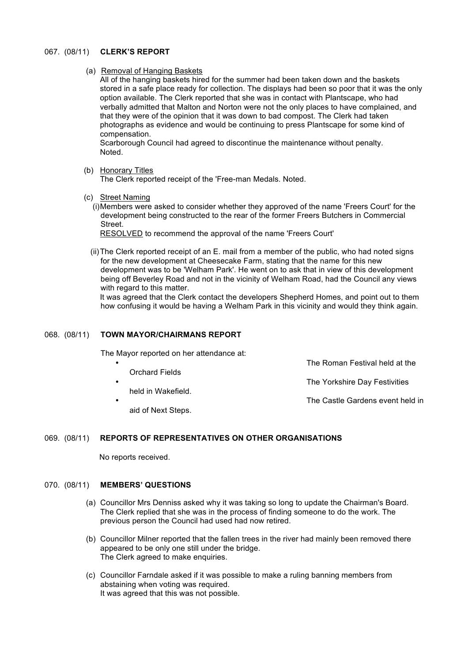### 067. (08/11) **CLERK'S REPORT**

(a) Removal of Hanging Baskets

 All of the hanging baskets hired for the summer had been taken down and the baskets stored in a safe place ready for collection. The displays had been so poor that it was the only option available. The Clerk reported that she was in contact with Plantscape, who had verbally admitted that Malton and Norton were not the only places to have complained, and that they were of the opinion that it was down to bad compost. The Clerk had taken photographs as evidence and would be continuing to press Plantscape for some kind of compensation.

Scarborough Council had agreed to discontinue the maintenance without penalty. Noted.

### (b) Honorary Titles

The Clerk reported receipt of the 'Free-man Medals. Noted.

- (c) Street Naming
	- (i)Members were asked to consider whether they approved of the name 'Freers Court' for the development being constructed to the rear of the former Freers Butchers in Commercial Street.

RESOLVED to recommend the approval of the name 'Freers Court'

 (ii)The Clerk reported receipt of an E. mail from a member of the public, who had noted signs for the new development at Cheesecake Farm, stating that the name for this new development was to be 'Welham Park'. He went on to ask that in view of this development being off Beverley Road and not in the vicinity of Welham Road, had the Council any views with regard to this matter.

It was agreed that the Clerk contact the developers Shepherd Homes, and point out to them how confusing it would be having a Welham Park in this vicinity and would they think again.

# 068. (08/11) **TOWN MAYOR/CHAIRMANS REPORT**

The Mayor reported on her attendance at:

| ٠ |                       | The Roman Festival held at the   |
|---|-----------------------|----------------------------------|
|   | <b>Orchard Fields</b> |                                  |
| ٠ |                       | The Yorkshire Day Festivities    |
| ٠ | held in Wakefield.    |                                  |
|   | aid of Next Steps.    | The Castle Gardens event held in |
|   |                       |                                  |

# 069. (08/11) **REPORTS OF REPRESENTATIVES ON OTHER ORGANISATIONS**

No reports received.

### 070. (08/11) **MEMBERS' QUESTIONS**

- (a) Councillor Mrs Denniss asked why it was taking so long to update the Chairman's Board. The Clerk replied that she was in the process of finding someone to do the work. The previous person the Council had used had now retired.
- (b) Councillor Milner reported that the fallen trees in the river had mainly been removed there appeared to be only one still under the bridge. The Clerk agreed to make enquiries.
- (c) Councillor Farndale asked if it was possible to make a ruling banning members from abstaining when voting was required. It was agreed that this was not possible.